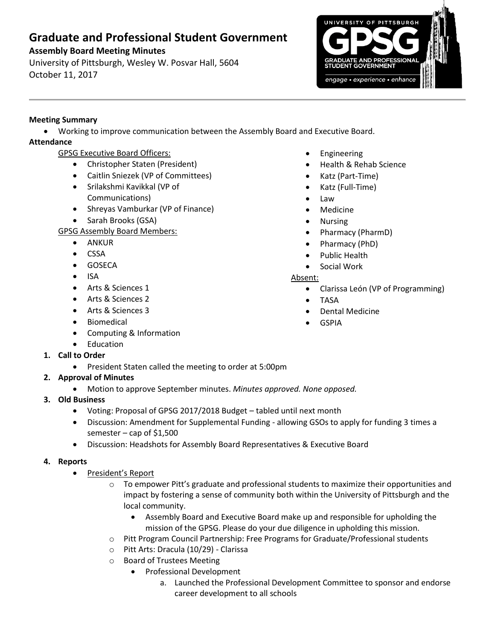# **Graduate and Professional Student Government**

# **Assembly Board Meeting Minutes**

University of Pittsburgh, Wesley W. Posvar Hall, 5604 October 11, 2017



### **Meeting Summary**

Working to improve communication between the Assembly Board and Executive Board.

## **Attendance**

- GPSG Executive Board Officers:
	- Christopher Staten (President)
	- Caitlin Sniezek (VP of Committees)
	- Srilakshmi Kavikkal (VP of Communications)
	- Shreyas Vamburkar (VP of Finance)
	- Sarah Brooks (GSA)

## GPSG Assembly Board Members:

- ANKUR
- CSSA
- **•** GOSECA
- $\bullet$  ISA
- Arts & Sciences 1
- Arts & Sciences 2
- Arts & Sciences 3
- Biomedical
- Computing & Information
- Education
- **1. Call to Order**
	- President Staten called the meeting to order at 5:00pm
- **2. Approval of Minutes** 
	- Motion to approve September minutes. *Minutes approved. None opposed.*
- **3. Old Business**
	- Voting: Proposal of GPSG 2017/2018 Budget tabled until next month
	- Discussion: Amendment for Supplemental Funding allowing GSOs to apply for funding 3 times a semester – cap of  $$1,500$
	- Discussion: Headshots for Assembly Board Representatives & Executive Board

## **4. Reports**

- President's Report
	- To empower Pitt's graduate and professional students to maximize their opportunities and impact by fostering a sense of community both within the University of Pittsburgh and the local community.
		- Assembly Board and Executive Board make up and responsible for upholding the mission of the GPSG. Please do your due diligence in upholding this mission.
	- o Pitt Program Council Partnership: Free Programs for Graduate/Professional students
	- o Pitt Arts: Dracula (10/29) Clarissa
	- o Board of Trustees Meeting
		- Professional Development
			- a. Launched the Professional Development Committee to sponsor and endorse career development to all schools
- Engineering
- Health & Rehab Science
- Katz (Part-Time)
- Katz (Full-Time)
- Law
- Medicine
- Nursing
- Pharmacy (PharmD)
- Pharmacy (PhD)
- Public Health
- Social Work

### Absent:

- Clarissa León (VP of Programming)
- TASA
- Dental Medicine
- GSPIA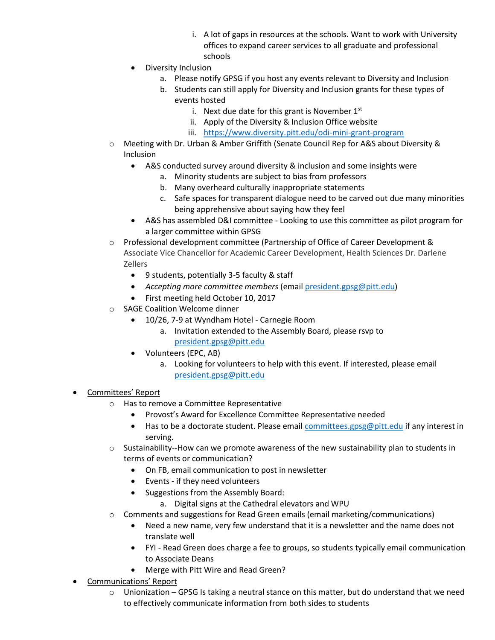- i. A lot of gaps in resources at the schools. Want to work with University offices to expand career services to all graduate and professional schools
- Diversity Inclusion
	- a. Please notify GPSG if you host any events relevant to Diversity and Inclusion
	- b. Students can still apply for Diversity and Inclusion grants for these types of events hosted
		- i. Next due date for this grant is November  $1<sup>st</sup>$
		- ii. Apply of the Diversity & Inclusion Office website
		- iii. <https://www.diversity.pitt.edu/odi-mini-grant-program>
- o Meeting with Dr. Urban & Amber Griffith (Senate Council Rep for A&S about Diversity & Inclusion
	- A&S conducted survey around diversity & inclusion and some insights were
		- a. Minority students are subject to bias from professors
		- b. Many overheard culturally inappropriate statements
		- c. Safe spaces for transparent dialogue need to be carved out due many minorities being apprehensive about saying how they feel
	- A&S has assembled D&I committee Looking to use this committee as pilot program for a larger committee within GPSG
- o Professional development committee (Partnership of Office of Career Development & Associate Vice Chancellor for Academic Career Development, Health Sciences Dr. Darlene Zellers
	- 9 students, potentially 3-5 faculty & staff
	- *Accepting more committee members* (email [president.gpsg@pitt.edu\)](mailto:president.gpsg@pitt.edu)
	- First meeting held October 10, 2017
- SAGE Coalition Welcome dinner
	- 10/26, 7-9 at Wyndham Hotel Carnegie Room
		- a. Invitation extended to the Assembly Board, please rsvp to [president.gpsg@pitt.edu](mailto:president.gpsg@pitt.edu)
	- Volunteers (EPC, AB)
		- a. Looking for volunteers to help with this event. If interested, please email [president.gpsg@pitt.edu](mailto:president.gpsg@pitt.edu)

#### • Committees' Report

- o Has to remove a Committee Representative
	- Provost's Award for Excellence Committee Representative needed
	- $\bullet$  Has to be a doctorate student. Please email [committees.gpsg@pitt.edu](mailto:committees.gpsg@pitt.edu) if any interest in serving.
- o Sustainability--How can we promote awareness of the new sustainability plan to students in terms of events or communication?
	- On FB, email communication to post in newsletter
	- Events if they need volunteers
	- Suggestions from the Assembly Board:
		- a. Digital signs at the Cathedral elevators and WPU
- o Comments and suggestions for Read Green emails (email marketing/communications)
	- Need a new name, very few understand that it is a newsletter and the name does not translate well
	- FYI Read Green does charge a fee to groups, so students typically email communication to Associate Deans
	- Merge with Pitt Wire and Read Green?
- Communications' Report
	- $\circ$  Unionization GPSG Is taking a neutral stance on this matter, but do understand that we need to effectively communicate information from both sides to students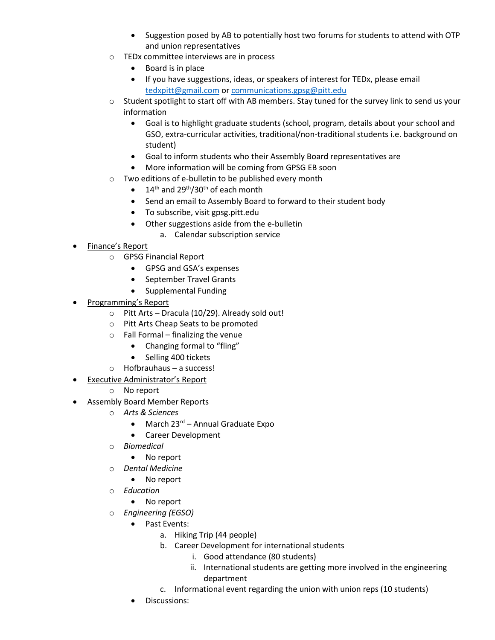- Suggestion posed by AB to potentially host two forums for students to attend with OTP and union representatives
- TEDx committee interviews are in process
	- Board is in place
	- If you have suggestions, ideas, or speakers of interest for TEDx, please email [tedxpitt@gmail.com](mailto:tedxpitt@gmail.com) or [communications.gpsg@pitt.edu](mailto:communications.gpsg@pitt.edu)
- $\circ$  Student spotlight to start off with AB members. Stay tuned for the survey link to send us your information
	- Goal is to highlight graduate students (school, program, details about your school and GSO, extra-curricular activities, traditional/non-traditional students i.e. background on student)
	- Goal to inform students who their Assembly Board representatives are
	- More information will be coming from GPSG EB soon
- Two editions of e-bulletin to be published every month
	- $\bullet$  14<sup>th</sup> and 29<sup>th</sup>/30<sup>th</sup> of each month
	- Send an email to Assembly Board to forward to their student body
	- To subscribe, visit gpsg.pitt.edu
	- Other suggestions aside from the e-bulletin
		- a. Calendar subscription service
- Finance's Report
	- o GPSG Financial Report
		- GPSG and GSA's expenses
		- September Travel Grants
		- Supplemental Funding
- Programming's Report
	- o Pitt Arts Dracula (10/29). Already sold out!
	- o Pitt Arts Cheap Seats to be promoted
	- $\circ$  Fall Formal finalizing the venue
		- Changing formal to "fling"
		- Selling 400 tickets
	- o Hofbrauhaus a success!
- Executive Administrator's Report
	- o No report
- Assembly Board Member Reports
	- o *Arts & Sciences*
		- March 23<sup>rd</sup> Annual Graduate Expo
		- Career Development
	- o *Biomedical*
		- No report
	- o *Dental Medicine*
		- No report
	- o *Education*
		- No report
	- o *Engineering (EGSO)*
		- Past Events:
			- a. Hiking Trip (44 people)
			- b. Career Development for international students
				- i. Good attendance (80 students)
				- ii. International students are getting more involved in the engineering department
			- c. Informational event regarding the union with union reps (10 students)
		- Discussions: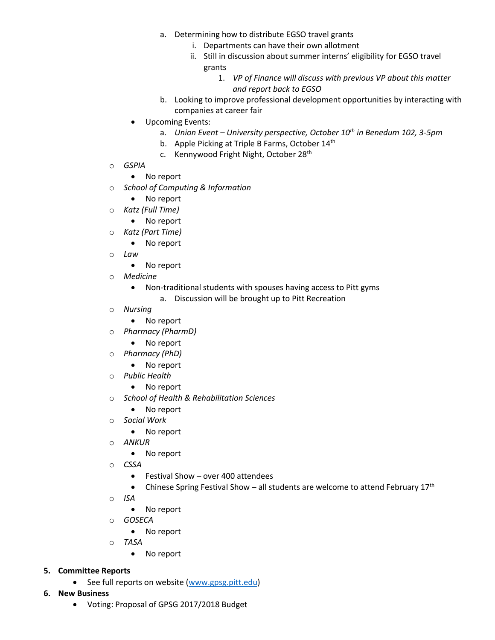- a. Determining how to distribute EGSO travel grants
	- i. Departments can have their own allotment
	- ii. Still in discussion about summer interns' eligibility for EGSO travel grants
		- 1. *VP of Finance will discuss with previous VP about this matter and report back to EGSO*
- b. Looking to improve professional development opportunities by interacting with companies at career fair
- Upcoming Events:
	- a. *Union Event – University perspective, October 10th in Benedum 102, 3-5pm*
	- b. Apple Picking at Triple B Farms, October 14<sup>th</sup>
	- c. Kennywood Fright Night, October 28<sup>th</sup>
- o *GSPIA*
	- No report
- o *School of Computing & Information*
	- No report
- o *Katz (Full Time)*
	- No report
- o *Katz (Part Time)*
	- No report
- o *Law*
	- No report
- o *Medicine*
	- Non-traditional students with spouses having access to Pitt gyms
		- a. Discussion will be brought up to Pitt Recreation
- o *Nursing* 
	- No report
- o *Pharmacy (PharmD)*
	- No report
- o *Pharmacy (PhD)*
	- No report
- o *Public Health*
	- No report
- o *School of Health & Rehabilitation Sciences*
	- No report
- o *Social Work*
	- No report
- o *ANKUR* 
	- No report
- o *CSSA* 
	- Festival Show over 400 attendees
	- Chinese Spring Festival Show all students are welcome to attend February  $17<sup>th</sup>$
- o *ISA* 
	- No report
- o *GOSECA*
	- No report
- o *TASA*
	- No report

#### **5. Committee Reports**

- See full reports on website [\(www.gpsg.pitt.edu\)](http://www.gpsg.pitt.edu/)
- **6. New Business**
	- Voting: Proposal of GPSG 2017/2018 Budget